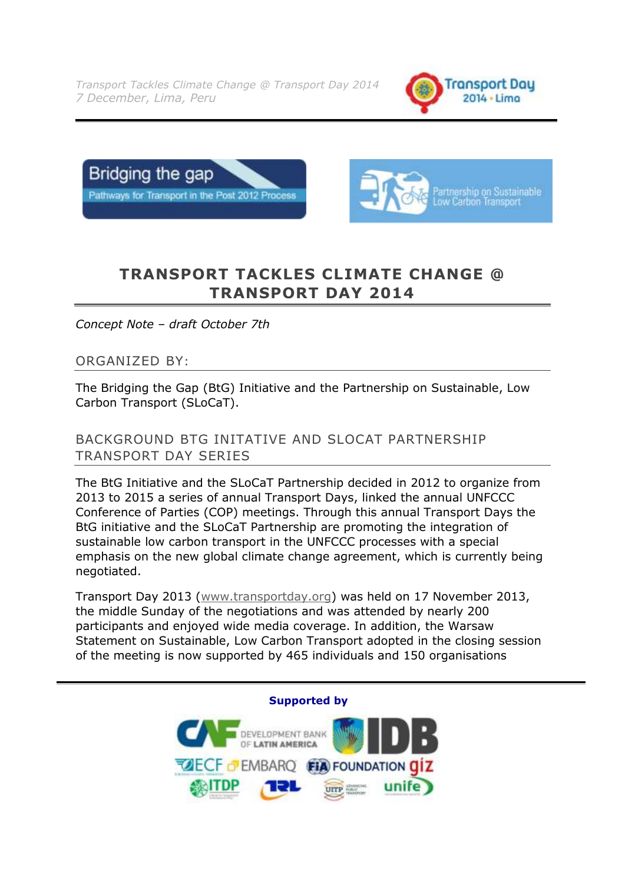*Transport Tackles Climate Change @ Transport Day 2014 7 December, Lima, Peru*







# **TRANSPORT TACKLES CLIMATE CHANGE @ TRANSPORT DAY 2014**

*Concept Note – draft October 7th*

### ORGANIZED BY:

The Bridging the Gap (BtG) Initiative and the Partnership on Sustainable, Low Carbon Transport (SLoCaT).

### BACKGROUND BTG INITATIVE AND SLOCAT PARTNERSHIP TRANSPORT DAY SERIES

The BtG Initiative and the SLoCaT Partnership decided in 2012 to organize from 2013 to 2015 a series of annual Transport Days, linked the annual UNFCCC Conference of Parties (COP) meetings. Through this annual Transport Days the BtG initiative and the SLoCaT Partnership are promoting the integration of sustainable low carbon transport in the UNFCCC processes with a special emphasis on the new global climate change agreement, which is currently being negotiated.

Transport Day 2013 [\(www.transportday.org\)](http://www.transportday.org/) was held on 17 November 2013, the middle Sunday of the negotiations and was attended by nearly 200 participants and enjoyed wide media coverage. In addition, the Warsaw Statement on Sustainable, Low Carbon Transport adopted in the closing session of the meeting is now supported by 465 individuals and 150 organisations

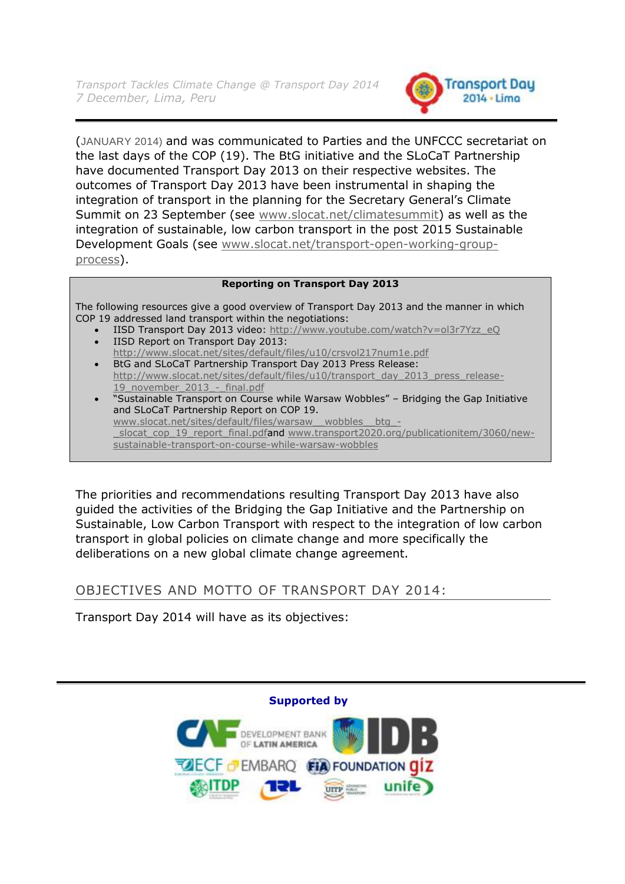

(JANUARY 2014) and was communicated to Parties and the UNFCCC secretariat on the last days of the COP (19). The BtG initiative and the SLoCaT Partnership have documented Transport Day 2013 on their respective websites. The outcomes of Transport Day 2013 have been instrumental in shaping the integration of transport in the planning for the Secretary General's Climate Summit on 23 September (see [www.slocat.net/climatesummit\)](http://www.slocat.net/climatesummit) as well as the integration of sustainable, low carbon transport in the post 2015 Sustainable Development Goals (see [www.slocat.net/transport-open-working-group](http://www.slocat.net/transport-open-working-group-process)[process\)](http://www.slocat.net/transport-open-working-group-process).

#### **Reporting on Transport Day 2013**

The following resources give a good overview of Transport Day 2013 and the manner in which COP 19 addressed land transport within the negotiations:

- IISD Transport Day 2013 video: [http://www.youtube.com/watch?v=ol3r7Yzz\\_eQ](http://www.youtube.com/watch?v=ol3r7Yzz_eQ) IISD Report on Transport Day 2013:
- <http://www.slocat.net/sites/default/files/u10/crsvol217num1e.pdf> BtG and SLoCaT Partnership Transport Day 2013 Press Release:
- [http://www.slocat.net/sites/default/files/u10/transport\\_day\\_2013\\_press\\_release-](http://www.slocat.net/sites/default/files/u10/transport_day_2013_press_release-19_november_2013_-_final.pdf)19 november 2013 - final.pdf
- "Sustainable Transport on Course while Warsaw Wobbles" Bridging the Gap Initiative and SLoCaT Partnership Report on COP 19. [www.slocat.net/sites/default/files/warsaw\\_\\_wobbles\\_\\_btg\\_](http://www.slocat.net/sites/default/files/warsaw__wobbles__btg_-_slocat_cop_19_report_final.pdf) slocat\_cop\_19\_report\_final.pdfand [www.transport2020.org/publicationitem/3060/new](http://www.transport2020.org/publicationitem/3060/new-sustainable-transport-on-course-while-warsaw-wobbles)[sustainable-transport-on-course-while-warsaw-wobbles](http://www.transport2020.org/publicationitem/3060/new-sustainable-transport-on-course-while-warsaw-wobbles)

The priorities and recommendations resulting Transport Day 2013 have also guided the activities of the Bridging the Gap Initiative and the Partnership on Sustainable, Low Carbon Transport with respect to the integration of low carbon transport in global policies on climate change and more specifically the deliberations on a new global climate change agreement.

### OBJECTIVES AND MOTTO OF TRANSPORT DAY 2014:

Transport Day 2014 will have as its objectives:

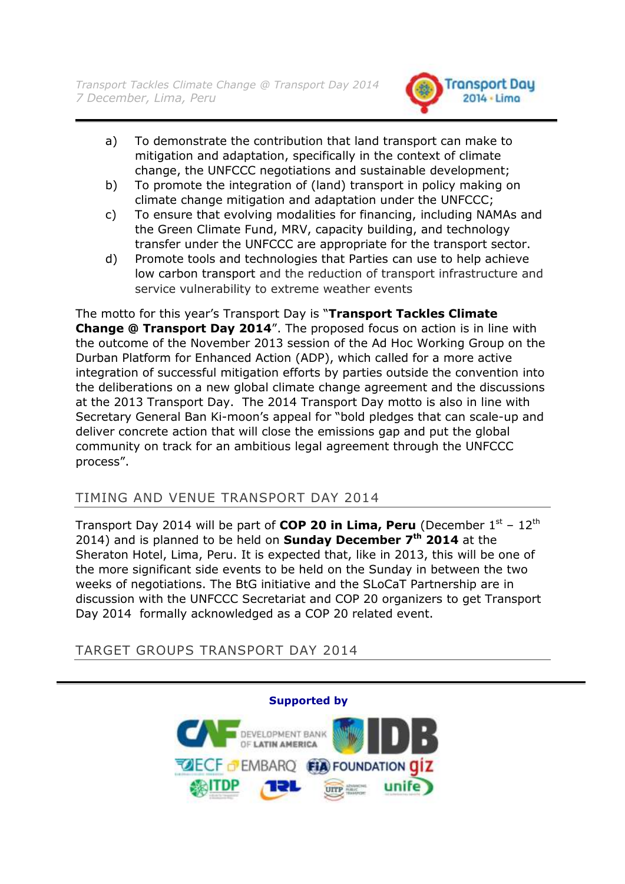

- a) To demonstrate the contribution that land transport can make to mitigation and adaptation, specifically in the context of climate change, the UNFCCC negotiations and sustainable development;
- b) To promote the integration of (land) transport in policy making on climate change mitigation and adaptation under the UNFCCC;
- c) To ensure that evolving modalities for financing, including NAMAs and the Green Climate Fund, MRV, capacity building, and technology transfer under the UNFCCC are appropriate for the transport sector.
- d) Promote tools and technologies that Parties can use to help achieve low carbon transport and the reduction of transport infrastructure and service vulnerability to extreme weather events

The motto for this year"s Transport Day is "**Transport Tackles Climate Change @ Transport Day 2014**". The proposed focus on action is in line with the outcome of the November 2013 session of the Ad Hoc Working Group on the Durban Platform for Enhanced Action (ADP), which called for a more active integration of successful mitigation efforts by parties outside the convention into the deliberations on a new global climate change agreement and the discussions at the 2013 Transport Day. The 2014 Transport Day motto is also in line with Secretary General Ban Ki-moon's appeal for "bold pledges that can scale-up and deliver concrete action that will close the emissions gap and put the global community on track for an ambitious legal agreement through the UNFCCC process".

# TIMING AND VENUE TRANSPORT DAY 2014

Transport Day 2014 will be part of **COP 20 in Lima, Peru** (December  $1^{st}$  –  $12^{th}$ 2014) and is planned to be held on **Sunday December 7th 2014** at the Sheraton Hotel, Lima, Peru. It is expected that, like in 2013, this will be one of the more significant side events to be held on the Sunday in between the two weeks of negotiations. The BtG initiative and the SLoCaT Partnership are in discussion with the UNFCCC Secretariat and COP 20 organizers to get Transport Day 2014 formally acknowledged as a COP 20 related event.

TARGET GROUPS TRANSPORT DAY 2014

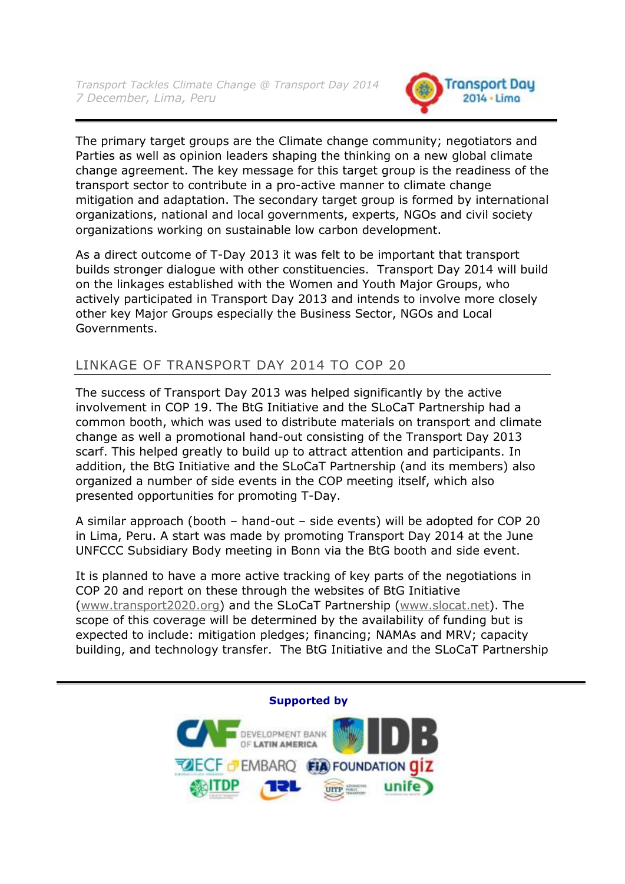

The primary target groups are the Climate change community; negotiators and Parties as well as opinion leaders shaping the thinking on a new global climate change agreement. The key message for this target group is the readiness of the transport sector to contribute in a pro-active manner to climate change mitigation and adaptation. The secondary target group is formed by international organizations, national and local governments, experts, NGOs and civil society organizations working on sustainable low carbon development.

As a direct outcome of T-Day 2013 it was felt to be important that transport builds stronger dialogue with other constituencies. Transport Day 2014 will build on the linkages established with the Women and Youth Major Groups, who actively participated in Transport Day 2013 and intends to involve more closely other key Major Groups especially the Business Sector, NGOs and Local Governments.

# LINKAGE OF TRANSPORT DAY 2014 TO COP 20

The success of Transport Day 2013 was helped significantly by the active involvement in COP 19. The BtG Initiative and the SLoCaT Partnership had a common booth, which was used to distribute materials on transport and climate change as well a promotional hand-out consisting of the Transport Day 2013 scarf. This helped greatly to build up to attract attention and participants. In addition, the BtG Initiative and the SLoCaT Partnership (and its members) also organized a number of side events in the COP meeting itself, which also presented opportunities for promoting T-Day.

A similar approach (booth – hand-out – side events) will be adopted for COP 20 in Lima, Peru. A start was made by promoting Transport Day 2014 at the June UNFCCC Subsidiary Body meeting in Bonn via the BtG booth and side event.

It is planned to have a more active tracking of key parts of the negotiations in COP 20 and report on these through the websites of BtG Initiative [\(www.transport2020.org\)](http://www.transport2020.org/) and the SLoCaT Partnership [\(www.slocat.net\)](http://www.slocat.net/). The scope of this coverage will be determined by the availability of funding but is expected to include: mitigation pledges; financing; NAMAs and MRV; capacity building, and technology transfer. The BtG Initiative and the SLoCaT Partnership

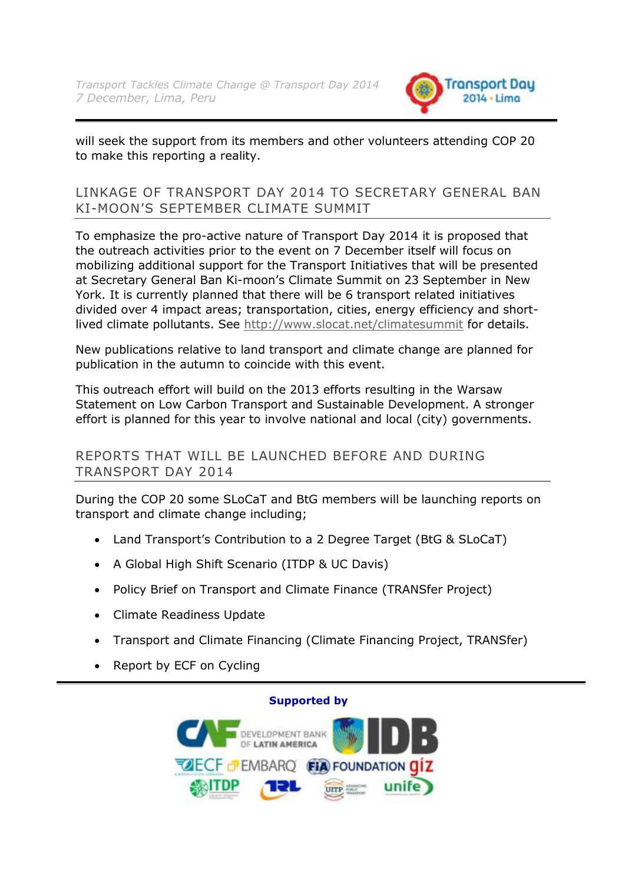

will seek the support from its members and other volunteers attending COP 20 to make this reporting a reality.

### LINKAGE OF TRANSPORT DAY 2014 TO SECRETARY GENERAL BAN KI-MOON"S SEPTEMBER CLIMATE SUMMIT

To emphasize the pro-active nature of Transport Day 2014 it is proposed that the outreach activities prior to the event on 7 December itself will focus on mobilizing additional support for the Transport Initiatives that will be presented at Secretary General Ban Ki-moon"s Climate Summit on 23 September in New York. It is currently planned that there will be 6 transport related initiatives divided over 4 impact areas; transportation, cities, energy efficiency and shortlived climate pollutants. See<http://www.slocat.net/climatesummit> for details.

New publications relative to land transport and climate change are planned for publication in the autumn to coincide with this event.

This outreach effort will build on the 2013 efforts resulting in the Warsaw Statement on Low Carbon Transport and Sustainable Development. A stronger effort is planned for this year to involve national and local (city) governments.

### REPORTS THAT WILL BE LAUNCHED BEFORE AND DURING TRANSPORT DAY 2014

During the COP 20 some SLoCaT and BtG members will be launching reports on transport and climate change including;

- Land Transport's Contribution to a 2 Degree Target (BtG & SLoCaT)
- A Global High Shift Scenario (ITDP & UC Davis)
- Policy Brief on Transport and Climate Finance (TRANSfer Project)
- Climate Readiness Update
- Transport and Climate Financing (Climate Financing Project, TRANSfer)
- Report by ECF on Cycling

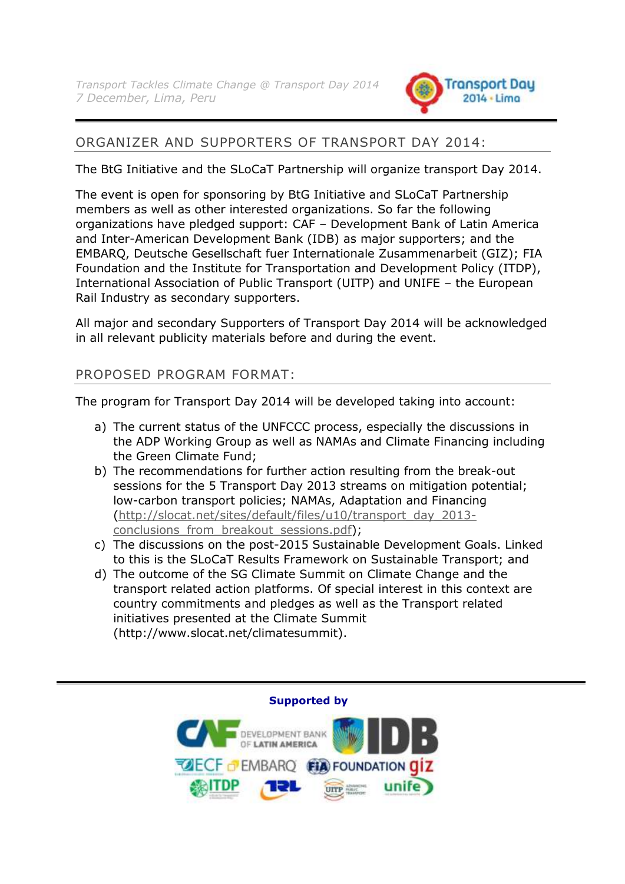

# ORGANIZER AND SUPPORTERS OF TRANSPORT DAY 2014:

The BtG Initiative and the SLoCaT Partnership will organize transport Day 2014.

The event is open for sponsoring by BtG Initiative and SLoCaT Partnership members as well as other interested organizations. So far the following organizations have pledged support: CAF – Development Bank of Latin America and Inter-American Development Bank (IDB) as major supporters; and the EMBARQ, Deutsche Gesellschaft fuer Internationale Zusammenarbeit (GIZ); FIA Foundation and the Institute for Transportation and Development Policy (ITDP), International Association of Public Transport (UITP) and UNIFE – the European Rail Industry as secondary supporters.

All major and secondary Supporters of Transport Day 2014 will be acknowledged in all relevant publicity materials before and during the event.

# PROPOSED PROGRAM FORMAT:

The program for Transport Day 2014 will be developed taking into account:

- a) The current status of the UNFCCC process, especially the discussions in the ADP Working Group as well as NAMAs and Climate Financing including the Green Climate Fund;
- b) The recommendations for further action resulting from the break-out sessions for the 5 Transport Day 2013 streams on mitigation potential; low-carbon transport policies; NAMAs, Adaptation and Financing [\(http://slocat.net/sites/default/files/u10/transport\\_day\\_2013](http://slocat.net/sites/default/files/u10/transport_day_2013-conclusions_from_breakout_sessions.pdf) conclusions from breakout sessions.pdf);
- c) The discussions on the post-2015 Sustainable Development Goals. Linked to this is the SLoCaT Results Framework on Sustainable Transport; and
- d) The outcome of the SG Climate Summit on Climate Change and the transport related action platforms. Of special interest in this context are country commitments and pledges as well as the Transport related initiatives presented at the Climate Summit (http://www.slocat.net/climatesummit).

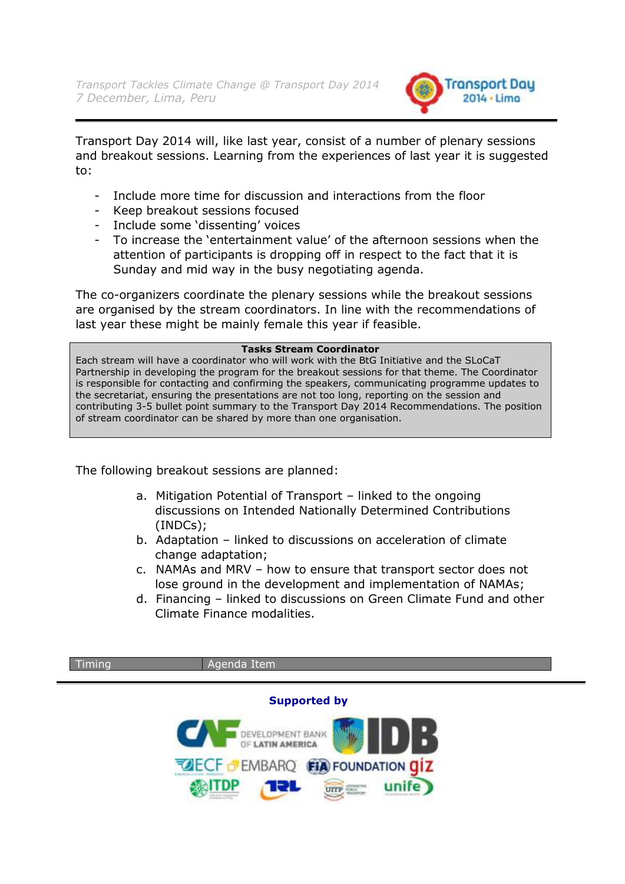

Transport Day 2014 will, like last year, consist of a number of plenary sessions and breakout sessions. Learning from the experiences of last year it is suggested to:

- Include more time for discussion and interactions from the floor
- Keep breakout sessions focused
- Include some 'dissenting' voices
- To increase the "entertainment value" of the afternoon sessions when the attention of participants is dropping off in respect to the fact that it is Sunday and mid way in the busy negotiating agenda.

The co-organizers coordinate the plenary sessions while the breakout sessions are organised by the stream coordinators. In line with the recommendations of last year these might be mainly female this year if feasible.

#### **Tasks Stream Coordinator**

Each stream will have a coordinator who will work with the BtG Initiative and the SLoCaT Partnership in developing the program for the breakout sessions for that theme. The Coordinator is responsible for contacting and confirming the speakers, communicating programme updates to the secretariat, ensuring the presentations are not too long, reporting on the session and contributing 3-5 bullet point summary to the Transport Day 2014 Recommendations. The position of stream coordinator can be shared by more than one organisation.

The following breakout sessions are planned:

- a. Mitigation Potential of Transport linked to the ongoing discussions on Intended Nationally Determined Contributions (INDCs);
- b. Adaptation linked to discussions on acceleration of climate change adaptation;
- c. NAMAs and MRV how to ensure that transport sector does not lose ground in the development and implementation of NAMAs;
- d. Financing linked to discussions on Green Climate Fund and other Climate Finance modalities.

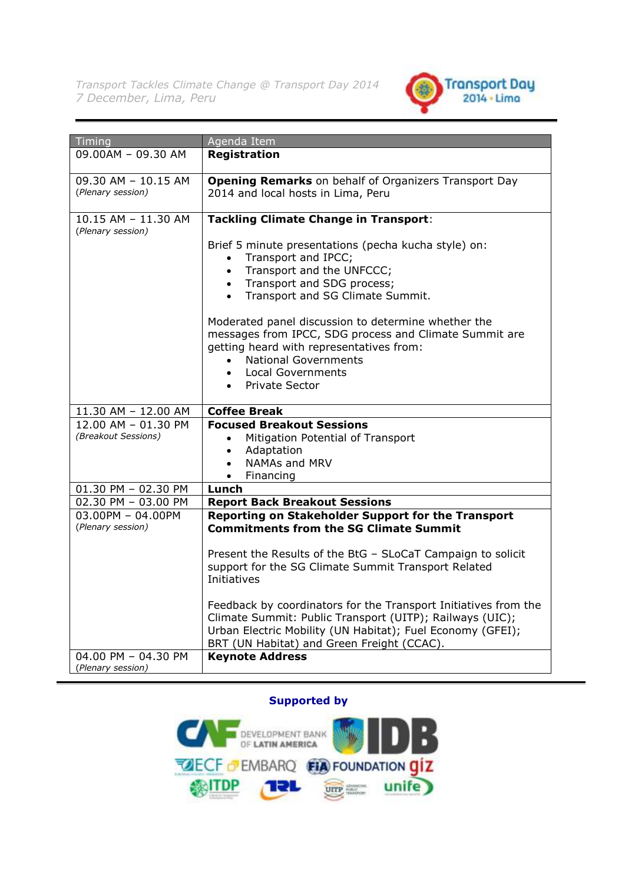

| Timing                                     | Agenda Item                                                                 |
|--------------------------------------------|-----------------------------------------------------------------------------|
| 09.00AM - 09.30 AM                         | <b>Registration</b>                                                         |
|                                            |                                                                             |
| 09.30 AM - 10.15 AM                        | <b>Opening Remarks</b> on behalf of Organizers Transport Day                |
| (Plenary session)                          | 2014 and local hosts in Lima, Peru                                          |
|                                            |                                                                             |
| 10.15 AM - 11.30 AM                        | <b>Tackling Climate Change in Transport:</b>                                |
| (Plenary session)                          |                                                                             |
|                                            | Brief 5 minute presentations (pecha kucha style) on:<br>Transport and IPCC; |
|                                            | $\bullet$<br>Transport and the UNFCCC;<br>$\bullet$                         |
|                                            | • Transport and SDG process;                                                |
|                                            | Transport and SG Climate Summit.<br>$\bullet$                               |
|                                            |                                                                             |
|                                            | Moderated panel discussion to determine whether the                         |
|                                            | messages from IPCC, SDG process and Climate Summit are                      |
|                                            | getting heard with representatives from:                                    |
|                                            | <b>National Governments</b><br>$\bullet$                                    |
|                                            | Local Governments                                                           |
|                                            | • Private Sector                                                            |
|                                            |                                                                             |
| 11.30 AM - 12.00 AM                        | <b>Coffee Break</b>                                                         |
| 12.00 AM - 01.30 PM                        | <b>Focused Breakout Sessions</b>                                            |
| (Breakout Sessions)                        | Mitigation Potential of Transport<br>$\bullet$                              |
|                                            | Adaptation<br>$\bullet$                                                     |
|                                            | NAMAs and MRV<br>$\bullet$                                                  |
|                                            | Financing<br>$\bullet$<br>Lunch                                             |
| 01.30 PM - 02.30 PM<br>02.30 PM - 03.00 PM | <b>Report Back Breakout Sessions</b>                                        |
| $03.00$ PM - 04.00PM                       | Reporting on Stakeholder Support for the Transport                          |
| (Plenary session)                          | <b>Commitments from the SG Climate Summit</b>                               |
|                                            |                                                                             |
|                                            | Present the Results of the BtG - SLoCaT Campaign to solicit                 |
|                                            | support for the SG Climate Summit Transport Related                         |
|                                            | Initiatives                                                                 |
|                                            |                                                                             |
|                                            | Feedback by coordinators for the Transport Initiatives from the             |
|                                            | Climate Summit: Public Transport (UITP); Railways (UIC);                    |
|                                            | Urban Electric Mobility (UN Habitat); Fuel Economy (GFEI);                  |
|                                            | BRT (UN Habitat) and Green Freight (CCAC).                                  |
| 04.00 PM - 04.30 PM                        | <b>Keynote Address</b>                                                      |
| (Plenary session)                          |                                                                             |

#### **Supported by**